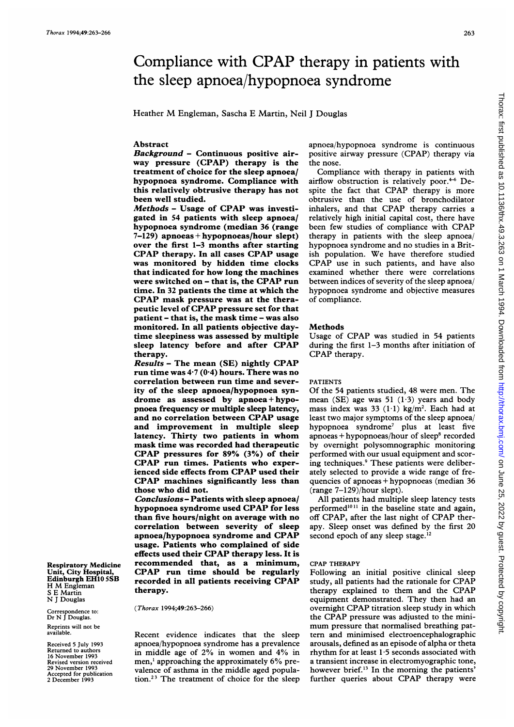# Compliance with CPAP therapy in patients with the sleep apnoea/hypopnoea syndrome

Heather M Engleman, Sascha <sup>E</sup> Martin, Neil <sup>J</sup> Douglas

# Abstract

Background - Continuous positive airway pressure (CPAP) therapy is the treatment of choice for the sleep apnoea/ hypopnoea syndrome. Compliance with this relatively obtrusive therapy has not been well studied.

Methods - Usage of CPAP was investigated in 54 patients with sleep apnoea/ hypopnoea syndrome (median 36 (range 7-129) apnoeas+hypopnoeas/hour slept) over the first 1-3 months after starting CPAP therapy. In all cases CPAP usage was monitored by hidden time clocks that indicated for how long the machines were switched on - that is, the CPAP run time. In 32 patients the time at which the CPAP mask pressure was at the therapeutic level of CPAP pressure set for that patient - that is, the mask time - was also monitored. In all patients objective daytime sleepiness was assessed by multiple sleep latency before and after CPAP therapy.

Results - The mean (SE) nightly CPAP run time was  $4.7(0.4)$  hours. There was no correlation between run time and severity of the sleep apnoea/hypopnoea syndrome as assessed by apnoea+hypopnoea frequency or multiple sleep latency, and no correlation between CPAP usage and improvement in multiple sleep latency. Thirty two patients in whom mask time was recorded had therapeutic CPAP pressures for 89% (3%) of their CPAP run times. Patients who experienced side effects from CPAP used their CPAP machines significantly less than those who did not.

Conclusions - Patients with sleep apnoea/ hypopnoea syndrome used CPAP for less than five hours/night on average with no correlation between severity of sleep apnoea/hypopnoea syndrome and CPAP usage. Patients who complained of side effects used their CPAP therapy less. It is recommended that, as a minimum, CPAP run time should be regularly recorded in all patients receiving CPAP therapy.

(Thorax 1994;49:263-266)

Recent evidence indicates that the sleep apnoea/hypopnoea syndrome has a prevalence in middle age of 2% in women and 4% in men,' approaching the approximately 6% prevalence of asthma in the middle aged population.23 The treatment of choice for the sleep

apnoea/hypopnoea syndrome is continuous positive airway pressure (CPAP) therapy via the nose.

Compliance with therapy in patients with airflow obstruction is relatively poor. $4-6$  Despite the fact that CPAP therapy is more obtrusive than the use of bronchodilator inhalers, and that CPAP therapy carries <sup>a</sup> relatively high initial capital cost, there have been few studies of compliance with CPAP therapy in patients with the sleep apnoea/ hypopnoea syndrome and no studies in a British population. We have therefore studied CPAP use in such patients, and have also examined whether there were correlations between indices of severity of the sleep apnoea/ hypopnoea syndrome and objective measures of compliance.

# Methods

Usage of CPAP was studied in 54 patients during the first 1-3 months after initiation of CPAP therapy.

# PATIENTS

Of the 54 patients studied, 48 were men. The mean (SE) age was 51  $(1.3)$  years and body mass index was 33  $(1 \cdot 1)$  kg/m<sup>2</sup>. Each had at least two major symptoms of the sleep apnoea/ hypopnoea syndrome7 plus at least five  $apnoeas + hypopnoeas/hour of sleep<sup>8</sup> recorded$ by overnight polysomnographic monitoring performed with our usual equipment and scoring techniques.<sup>9</sup> These patients were deliberately selected to provide a wide range of frequencies of apnoeas + hypopnoeas (median 36 (range 7-129)/hour slept).

All patients had multiple sleep latency tests performed $1011$  in the baseline state and again, off CPAP, after the last night of CPAP therapy. Sleep onset was defined by the first 20 second epoch of any sleep stage.<sup>12</sup>

# CPAP THERAPY

Following an initial positive clinical sleep study, all patients had the rationale for CPAP therapy explained to them and the CPAP equipment demonstrated. They then had an overnight CPAP titration sleep study in which the CPAP pressure was adjusted to the minimum pressure that normalised breathing pattern and minimised electroencephalographic arousals, defined as an episode of alpha or theta rhythm for at least <sup>1</sup> 5 seconds associated with a transient increase in electromyographic tone, however brief.'3 In the morning the patients' further queries about CPAP therapy were

Respiratory Medicine Unit, City Hospital, Edinburgh EH10 5SB H M Engleman S E Martin N <sup>J</sup> Douglas

Correspondence to: Dr N J Douglas. Reprints will not be available.

Received 5 July 1993 Returned to authors 16 November 1993 Revised version received 29 November 1993 Accepted for publication 2 December 1993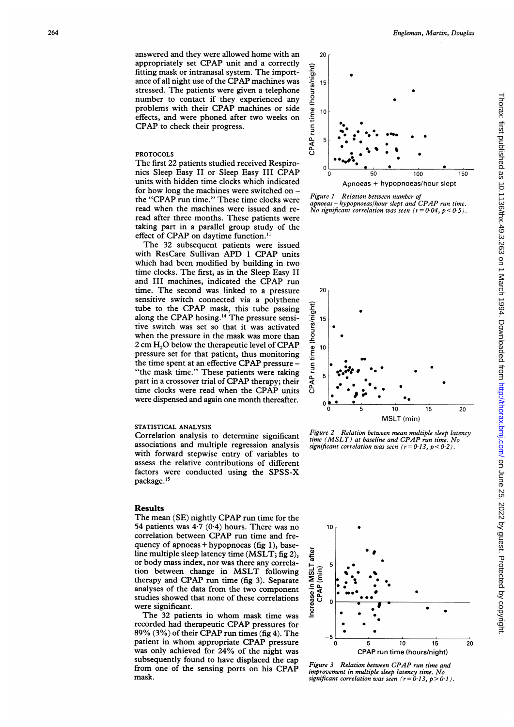# PROTOCOLS

The first 22 patients studied received Respironics Sleep Easy II or Sleep Easy III CPAP units with hidden time clocks which indicated for how long the machines were switched on the "CPAP run time." These time clocks were read when the machines were issued and reread after three months. These patients were taking part in a parallel group study of the effect of CPAP on daytime function.<sup>11</sup>

The 32 subsequent patients were issued with ResCare Sullivan APD <sup>1</sup> CPAP units which had been modified by building in two time clocks. The first, as in the Sleep Easy II and III machines, indicated the CPAP run time. The second was linked to a pressure sensitive switch connected via a polythene tube to the CPAP mask, this tube passing along the CPAP hosing.'4 The pressure sensitive switch was set so that it was activated when the pressure in the mask was more than 2 cm  $H<sub>2</sub>O$  below the therapeutic level of CPAP pressure set for that patient, thus monitoring the time spent at an effective CPAP pressure -"the mask time." These patients were taking part in <sup>a</sup> crossover trial of CPAP therapy; their time clocks were read when the CPAP units were dispensed and again one month thereafter.

#### STATISTICAL ANALYSIS

Correlation analysis to determine significant associations and multiple regression analysis with forward stepwise entry of variables to assess the relative contributions of different factors were conducted using the SPSS-X package.<sup>15</sup>

#### Results

The mean (SE) nightly CPAP run time for the 54 patients was  $4\cdot7$  (0.4) hours. There was no correlation between CPAP run time and frequency of apnoeas + hypopnoeas (fig 1), baseline multiple sleep latency time (MSLT; fig 2), or body mass index, nor was there any correlation between change in MSLT following therapy and CPAP run time (fig 3). Separate analyses of the data from the two component studies showed that none of these correlations were significant.

The 32 patients in whom mask time was recorded had therapeutic CPAP pressures for 89% (3%) of their CPAP run times (fig 4). The patient in whom appropriate CPAP pressure was only achieved for 24% of the night was subsequently found to have displaced the cap from one of the sensing ports on his CPAP mask.



Figure 1 Relation between number of apnoeas + hypopnoeas/hour slept and CPAP run time. No significant correlation was seen  $(r = 0.04, p < 0.5)$ .



Figure 2 Relation between mean multiple sleep latency time (MSLT) at baseline and CPAP run time. No significant correlation was seen  $(r = 0.13, p < 0.2)$ .



Figure <sup>3</sup> Relation between CPAP run time and improvement in multiple sleep latency time. No significant correlation was seen  $(r = 0.13, p > 0.1)$ .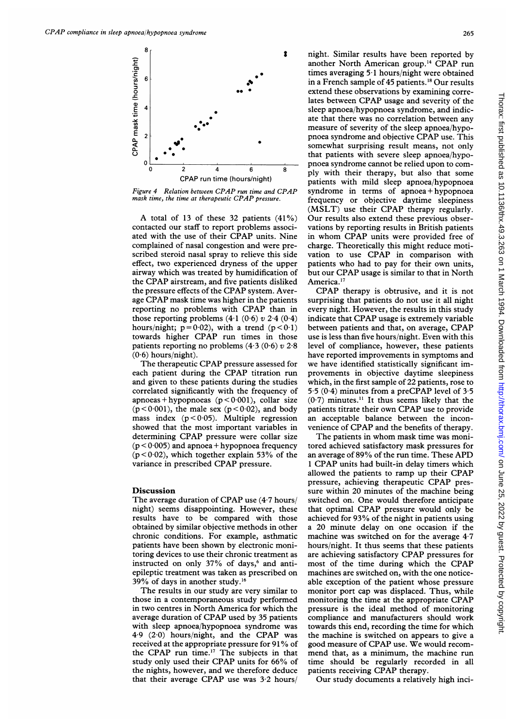

Figure <sup>4</sup> Relation between CPAP run time and CPAP mask time, the time at therapeutic CPAP pressure.

A total of <sup>13</sup> of these <sup>32</sup> patients (41%) contacted our staff to report problems associated with the use of their CPAP units. Nine complained of nasal congestion and were prescribed steroid nasal spray to relieve this side effect, two experienced dryness of the upper airway which was treated by humidification of the CPAP airstream, and five patients disliked the pressure effects of the CPAP system. Average CPAP mask time was higher in the patients reporting no problems with CPAP than in those reporting problems  $(4.1 (0.6) v 2.4 (0.4)$ hours/night;  $p = 0.02$ ), with a trend ( $p < 0.1$ ) towards higher CPAP run times in those patients reporting no problems  $(4.3 (0.6) v 2.8)$  $(0.6)$  hours/night).

The therapeutic CPAP pressure assessed for each patient during the CPAP titration run and given to these patients during the studies correlated significantly with the frequency of apnoeas + hypopnoeas ( $p < 0.001$ ), collar size  $(p<0.001)$ , the male sex  $(p<0.02)$ , and body mass index  $(p < 0.05)$ . Multiple regression showed that the most important variables in determining CPAP pressure were collar size  $(p < 0.005)$  and apnoea + hypopnoea frequency  $(p < 0.02)$ , which together explain 53% of the variance in prescribed CPAP pressure.

# Discussion

The average duration of CPAP use  $(4.7 \text{ hours})$ night) seems disappointing. However, these results have to be compared with those obtained by similar objective methods in other chronic conditions. For example, asthmatic patients have been shown by electronic monitoring devices to use their chronic treatment as instructed on only 37% of days,<sup>6</sup> and antiepileptic treatment was taken as prescribed on 39% of days in another study.'6

The results in our study are very similar to those in a contemporaneous study performed in two centres in North America for which the average duration of CPAP used by 35 patients with sleep apnoea/hypopnoea syndrome was 4.9 (2-0) hours/night, and the CPAP was received at the appropriate pressure for <sup>91</sup> % of the CPAP run time.'7 The subjects in that study only used their CPAP units for 66% of the nights, however, and we therefore deduce that their average CPAP use was 3-2 hours/

night. Similar results have been reported by another North American group.<sup>14</sup> CPAP run times averaging 5 <sup>1</sup> hours/night were obtained in a French sample of 45 patients.'8 Our results extend these observations by examining correlates between CPAP usage and severity of the sleep apnoea/hypopnoea syndrome, and indicate that there was no correlation between any measure of severity of the sleep apnoea/hypopnoea syndrome and objective CPAP use. This somewhat surprising result means, not only that patients with severe sleep apnoea/hypopnoea syndrome cannot be relied upon to comply with their therapy, but also that some patients with mild sleep apnoea/hypopnoea syndrome in terms of apnoea + hypopnoea frequency or objective daytime sleepiness (MSLT) use their CPAP therapy regularly. Our results also extend these previous observations by reporting results in British patients in whom CPAP units were provided free of charge. Theoretically this might reduce motivation to use CPAP in comparison with patients who had to pay for their own units, but our CPAP usage is similar to that in North America.<sup>17</sup>

CPAP therapy is obtrusive, and it is not surprising that patients do not use it all night every night. However, the results in this study indicate that CPAP usage is extremely variable between patients and that, on average, CPAP use is less than five hours/night. Even with this level of compliance, however, these patients have reported improvements in symptoms and we have identified statistically significant improvements in objective daytime sleepiness which, in the first sample of 22 patients, rose to 5.5 (0.4) minutes from a preCPAP level of  $3.5$  $(0.7)$  minutes.<sup>11</sup> It thus seems likely that the patients titrate their own CPAP use to provide an acceptable balance between the inconvenience of CPAP and the benefits of therapy.

The patients in whom mask time was monitored achieved satisfactory mask pressures for an average of 89% of the run time. These APD <sup>1</sup> CPAP units had built-in delay timers which allowed the patients to ramp up their CPAP pressure, achieving therapeutic CPAP pressure within 20 minutes of the machine being switched on. One would therefore anticipate that optimal CPAP pressure would only be achieved for 93% of the night in patients using a 20 minute delay on one occasion if the machine was switched on for the average 4.7 hours/night. It thus seems that these patients are achieving satisfactory CPAP pressures for most of the time during which the CPAP machines are switched on, with the one noticeable exception of the patient whose pressure monitor port cap was displaced. Thus, while monitoring the time at the appropriate CPAP pressure is the ideal method of monitoring compliance and manufacturers should work towards this end, recording the time for which the machine is switched on appears to give a good measure of CPAP use. We would recommend that, as <sup>a</sup> minimum, the machine run time should be regularly recorded in all patients receiving CPAP therapy.

Our study documents <sup>a</sup> relatively high inci-